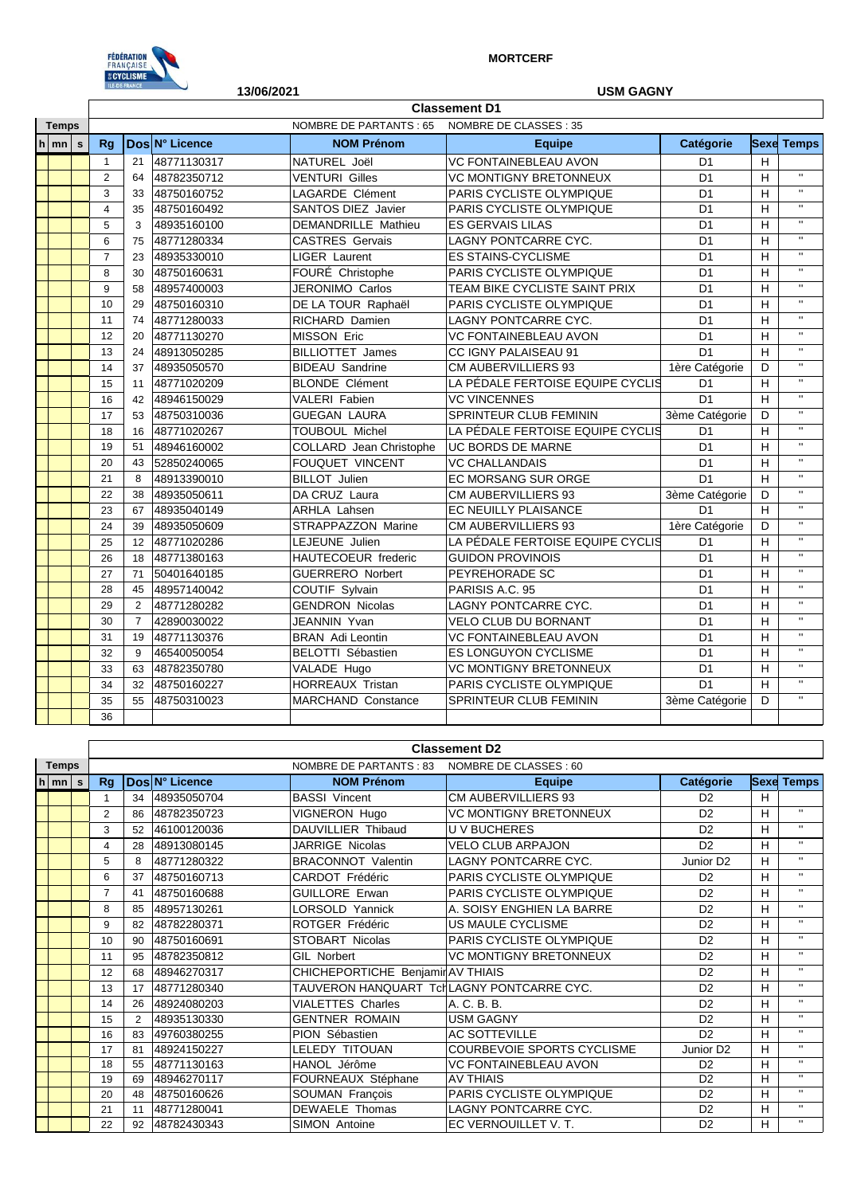

## **MORTCERF**

|              |                 |                                                  |                      | ILE-DE-FRANCE  |             | <b>USM GAGNY</b>           |                                  |                |   |                   |  |  |
|--------------|-----------------|--------------------------------------------------|----------------------|----------------|-------------|----------------------------|----------------------------------|----------------|---|-------------------|--|--|
|              |                 |                                                  |                      |                |             |                            |                                  |                |   |                   |  |  |
| <b>Temps</b> |                 | NOMBRE DE PARTANTS : 65<br>NOMBRE DE CLASSES: 35 |                      |                |             |                            |                                  |                |   |                   |  |  |
|              | $ h _{mn} _{s}$ |                                                  | Dos N° Licence<br>Rq |                |             | <b>NOM Prénom</b>          | <b>Equipe</b>                    | Catégorie      |   | <b>Sexe Temps</b> |  |  |
|              |                 |                                                  | $\mathbf{1}$         | 21             | 48771130317 | NATUREL Joël               | VC FONTAINEBLEAU AVON            | D <sub>1</sub> | Н |                   |  |  |
|              |                 |                                                  | $\overline{2}$       | 64             | 48782350712 | <b>VENTURI Gilles</b>      | <b>VC MONTIGNY BRETONNEUX</b>    | D <sub>1</sub> | H | $\mathbf{H}$      |  |  |
|              |                 |                                                  | 3                    | 33             | 48750160752 | <b>LAGARDE Clément</b>     | <b>PARIS CYCLISTE OLYMPIQUE</b>  | D <sub>1</sub> | н | $\mathbf{u}$      |  |  |
|              |                 |                                                  | $\overline{4}$       | 35             | 48750160492 | <b>SANTOS DIEZ Javier</b>  | PARIS CYCLISTE OLYMPIQUE         | D <sub>1</sub> | H | $\mathbf{u}$      |  |  |
|              |                 |                                                  | 5                    | 3              | 48935160100 | DEMANDRILLE Mathieu        | <b>ES GERVAIS LILAS</b>          | D <sub>1</sub> | H | $\mathbf{H}$      |  |  |
|              |                 |                                                  | 6                    | 75             | 48771280334 | <b>CASTRES Gervais</b>     | <b>LAGNY PONTCARRE CYC.</b>      | D <sub>1</sub> | Н | $\mathbf{H}$      |  |  |
|              |                 |                                                  | $\overline{7}$       | 23             | 48935330010 | <b>LIGER Laurent</b>       | <b>ES STAINS-CYCLISME</b>        | D <sub>1</sub> | H | $\mathbf{u}$      |  |  |
|              |                 |                                                  | 8                    | 30             | 48750160631 | FOURÉ Christophe           | PARIS CYCLISTE OLYMPIQUE         | D <sub>1</sub> | H | $\mathbf{u}$      |  |  |
|              |                 |                                                  | 9                    | 58             | 48957400003 | JERONIMO Carlos            | TEAM BIKE CYCLISTE SAINT PRIX    | D <sub>1</sub> | н | $\mathbf{u}$      |  |  |
|              |                 |                                                  | 10                   | 29             | 48750160310 | DE LA TOUR Raphaël         | PARIS CYCLISTE OLYMPIQUE         | D <sub>1</sub> | Н | $\mathbf{H}$      |  |  |
|              |                 |                                                  | 11                   | 74             | 48771280033 | RICHARD Damien             | LAGNY PONTCARRE CYC.             | D <sub>1</sub> | H | $\mathbf{H}$      |  |  |
|              |                 |                                                  | 12                   | 20             | 48771130270 | <b>MISSON Eric</b>         | <b>VC FONTAINEBLEAU AVON</b>     | D <sub>1</sub> | H | $\mathbf{H}$      |  |  |
|              |                 |                                                  | 13                   | 24             | 48913050285 | <b>BILLIOTTET James</b>    | CC IGNY PALAISEAU 91             | D <sub>1</sub> | H | $\mathbf{H}$      |  |  |
|              |                 |                                                  | 14                   | 37             | 48935050570 | <b>BIDEAU Sandrine</b>     | <b>CM AUBERVILLIERS 93</b>       | 1ère Catégorie | D | $\mathbf{H}$      |  |  |
|              |                 |                                                  | 15                   | 11             | 48771020209 | <b>BLONDE Clément</b>      | LA PÉDALE FERTOISE EQUIPE CYCLIS | D <sub>1</sub> | Н | $\mathbf{H}$      |  |  |
|              |                 |                                                  | 16                   | 42             | 48946150029 | <b>VALERI Fabien</b>       | <b>VC VINCENNES</b>              | D <sub>1</sub> | н |                   |  |  |
|              |                 |                                                  | 17                   | 53             | 48750310036 | <b>GUEGAN LAURA</b>        | <b>SPRINTEUR CLUB FEMININ</b>    | 3ème Catégorie | D | $\mathbf{H}$      |  |  |
|              |                 |                                                  | 18                   | 16             | 48771020267 | <b>TOUBOUL Michel</b>      | LA PÉDALE FERTOISE EQUIPE CYCLIS | D <sub>1</sub> | H | $\mathbf{H}$      |  |  |
|              |                 |                                                  | 19                   | 51             | 48946160002 | COLLARD Jean Christophe    | UC BORDS DE MARNE                | D <sub>1</sub> | H | $\mathbf{H}$      |  |  |
|              |                 |                                                  | 20                   | 43             | 52850240065 | FOUQUET VINCENT            | <b>VC CHALLANDAIS</b>            | D <sub>1</sub> | H | $\mathbf{u}$      |  |  |
|              |                 |                                                  | 21                   | 8              | 48913390010 | <b>BILLOT</b> Julien       | EC MORSANG SUR ORGE              | D <sub>1</sub> | H | $\mathbf{u}$      |  |  |
|              |                 |                                                  | 22                   | 38             | 48935050611 | DA CRUZ Laura              | <b>CM AUBERVILLIERS 93</b>       | 3ème Catégorie | D | $\mathbf{H}$      |  |  |
|              |                 |                                                  | 23                   | 67             | 48935040149 | <b>ARHLA Lahsen</b>        | EC NEUILLY PLAISANCE             | D <sub>1</sub> | H | $\mathbf{H}$      |  |  |
|              |                 |                                                  | 24                   | 39             | 48935050609 | STRAPPAZZON Marine         | CM AUBERVILLIERS 93              | 1ère Catégorie | D | $\mathbf{u}$      |  |  |
|              |                 |                                                  | 25                   | 12             | 48771020286 | LEJEUNE Julien             | LA PÉDALE FERTOISE EQUIPE CYCLIS | D <sub>1</sub> | H | $\mathbf{H}$      |  |  |
|              |                 |                                                  | 26                   | 18             | 48771380163 | <b>HAUTECOEUR</b> frederic | <b>GUIDON PROVINOIS</b>          | D <sub>1</sub> | H | $\mathbf{H}$      |  |  |
|              |                 |                                                  | 27                   | 71             | 50401640185 | <b>GUERRERO Norbert</b>    | PEYREHORADE SC                   | D <sub>1</sub> | H | $\mathbf{H}$      |  |  |
|              |                 |                                                  | 28                   | 45             | 48957140042 | <b>COUTIF Sylvain</b>      | PARISIS A.C. 95                  | D <sub>1</sub> | Н | $\mathbf{H}$      |  |  |
|              |                 |                                                  | 29                   | 2              | 48771280282 | <b>GENDRON Nicolas</b>     | LAGNY PONTCARRE CYC.             | D <sub>1</sub> | н | $\mathbf{H}$      |  |  |
|              |                 |                                                  | 30                   | $\overline{7}$ | 42890030022 | JEANNIN Yvan               | <b>VELO CLUB DU BORNANT</b>      | D <sub>1</sub> | H | $^{\prime}$       |  |  |
|              |                 |                                                  | 31                   | 19             | 48771130376 | <b>BRAN</b> Adi Leontin    | <b>VC FONTAINEBLEAU AVON</b>     | D <sub>1</sub> | H | $\mathbf{u}$      |  |  |
|              |                 |                                                  | 32                   | 9              | 46540050054 | BELOTTI Sébastien          | ES LONGUYON CYCLISME             | D <sub>1</sub> | H | $\mathbf{H}$      |  |  |
|              |                 |                                                  | 33                   | 63             | 48782350780 | VALADE Hugo                | <b>VC MONTIGNY BRETONNEUX</b>    | D <sub>1</sub> | H | $\mathbf{H}$      |  |  |
|              |                 |                                                  | 34                   | 32             | 48750160227 | <b>HORREAUX Tristan</b>    | PARIS CYCLISTE OLYMPIQUE         | D <sub>1</sub> | H | $\mathbf{u}$      |  |  |
|              |                 |                                                  | 35                   | 55             | 48750310023 | <b>MARCHAND Constance</b>  | SPRINTEUR CLUB FEMININ           | 3ème Catégorie | D | $\mathbf{u}$      |  |  |
|              |                 |                                                  | 36                   |                |             |                            |                                  |                |   |                   |  |  |

|              |                    |                | <b>Classement D2</b> |                |                                           |                               |                       |   |                   |  |  |  |  |  |
|--------------|--------------------|----------------|----------------------|----------------|-------------------------------------------|-------------------------------|-----------------------|---|-------------------|--|--|--|--|--|
| <b>Temps</b> |                    |                |                      |                |                                           |                               |                       |   |                   |  |  |  |  |  |
|              | $h \mid mn \mid s$ |                |                      | Dos N° Licence | <b>NOM Prénom</b>                         | <b>Equipe</b>                 | Catégorie             |   | <b>Sexe Temps</b> |  |  |  |  |  |
|              |                    |                | 34                   | 48935050704    | <b>BASSI Vincent</b>                      | CM AUBERVILLIERS 93           | D <sub>2</sub>        | н |                   |  |  |  |  |  |
|              |                    | $\overline{2}$ | 86                   | 48782350723    | VIGNERON Hugo                             | <b>VC MONTIGNY BRETONNEUX</b> | D <sub>2</sub>        | н | $\mathbf{H}$      |  |  |  |  |  |
|              |                    | 3              | 52                   | 46100120036    | DAUVILLIER Thibaud                        | <b>UV BUCHERES</b>            | D <sub>2</sub>        | н | $\mathbf{u}$      |  |  |  |  |  |
|              |                    | 4              | 28                   | 48913080145    | <b>JARRIGE Nicolas</b>                    | <b>VELO CLUB ARPAJON</b>      | D <sub>2</sub>        | н | $\mathbf{H}$      |  |  |  |  |  |
|              |                    | 5              | 8                    | 48771280322    | <b>BRACONNOT Valentin</b>                 | LAGNY PONTCARRE CYC.          | Junior D <sub>2</sub> | H | $\mathbf{u}$      |  |  |  |  |  |
|              |                    | 6              | 37                   | 48750160713    | CARDOT Frédéric                           | PARIS CYCLISTE OLYMPIQUE      | D <sub>2</sub>        | H | $\mathbf{H}$      |  |  |  |  |  |
|              |                    | $\overline{7}$ | 41                   | 48750160688    | <b>GUILLORE Erwan</b>                     | PARIS CYCLISTE OLYMPIQUE      | D <sub>2</sub>        | н | $\mathbf{H}$      |  |  |  |  |  |
|              |                    | 8              | 85                   | 48957130261    | <b>LORSOLD Yannick</b>                    | A. SOISY ENGHIEN LA BARRE     | D <sub>2</sub>        | H | $\mathbf{H}$      |  |  |  |  |  |
|              |                    | 9              | 82                   | 48782280371    | ROTGER Frédéric                           | US MAULE CYCLISME             | D <sub>2</sub>        | н | $\mathbf{H}$      |  |  |  |  |  |
|              |                    | 10             | 90                   | 48750160691    | STOBART Nicolas                           | PARIS CYCLISTE OLYMPIQUE      | D <sub>2</sub>        | н | $\mathbf{H}$      |  |  |  |  |  |
|              |                    | 11             | 95                   | 48782350812    | <b>GIL Norbert</b>                        | <b>VC MONTIGNY BRETONNEUX</b> | D <sub>2</sub>        | н | $\mathbf{H}$      |  |  |  |  |  |
|              |                    | 12             | 68                   | 48946270317    | CHICHEPORTICHE Benjamir AV THIAIS         |                               | D <sub>2</sub>        | н | $\mathbf{H}$      |  |  |  |  |  |
|              |                    | 13             | 17                   | 48771280340    | TAUVERON HANQUART TcHLAGNY PONTCARRE CYC. |                               | D <sub>2</sub>        | H | $\mathbf{H}$      |  |  |  |  |  |
|              |                    | 14             | 26                   | 48924080203    | <b>VIALETTES Charles</b>                  | A. C. B. B.                   | D <sub>2</sub>        | н | $\mathbf{H}$      |  |  |  |  |  |
|              |                    | 15             | 2                    | 48935130330    | <b>GENTNER ROMAIN</b>                     | <b>USM GAGNY</b>              | D <sub>2</sub>        | н | $\mathbf{H}$      |  |  |  |  |  |
|              |                    | 16             | 83                   | 49760380255    | PION Sébastien                            | <b>AC SOTTEVILLE</b>          | D <sub>2</sub>        | H | $\blacksquare$    |  |  |  |  |  |
|              |                    | 17             | 81                   | 48924150227    | LELEDY TITOUAN                            | COURBEVOIE SPORTS CYCLISME    | Junior D <sub>2</sub> | н | $\mathbf{H}$      |  |  |  |  |  |
|              |                    | 18             | 55                   | 48771130163    | HANOL Jérôme                              | <b>VC FONTAINEBLEAU AVON</b>  | D <sub>2</sub>        | н | $\mathbf{H}$      |  |  |  |  |  |
|              |                    | 19             | 69                   | 48946270117    | FOURNEAUX Stéphane                        | <b>AV THIAIS</b>              | D <sub>2</sub>        | н | $\mathbf{H}$      |  |  |  |  |  |
|              |                    | 20             | 48                   | 48750160626    | SOUMAN François                           | PARIS CYCLISTE OLYMPIQUE      | D <sub>2</sub>        | H | $\mathbf{H}$      |  |  |  |  |  |
|              |                    | 21             | 11                   | 48771280041    | <b>DEWAELE Thomas</b>                     | LAGNY PONTCARRE CYC.          | D <sub>2</sub>        | н | $\blacksquare$    |  |  |  |  |  |
|              |                    | 22             | 92                   | 48782430343    | SIMON Antoine                             | EC VERNOUILLET V.T.           | D <sub>2</sub>        | н | $\mathbf{H}$      |  |  |  |  |  |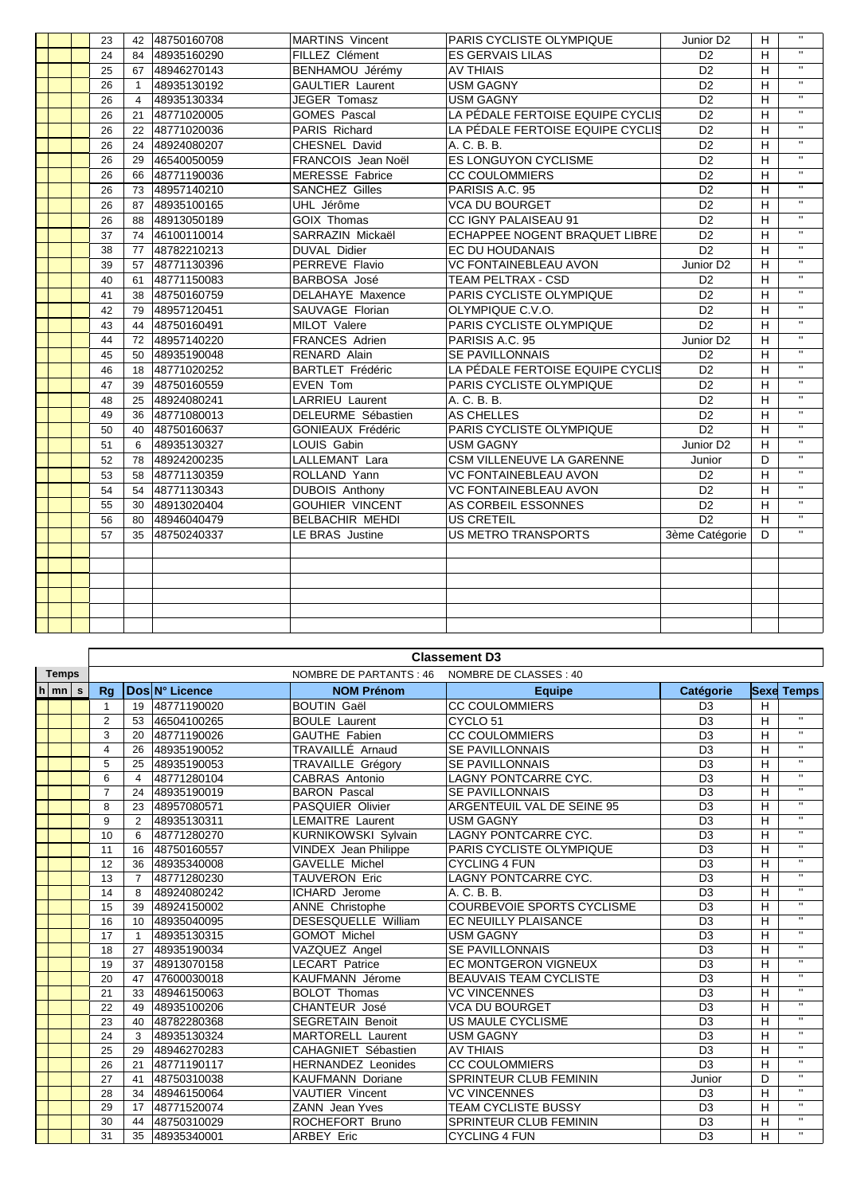| $\overline{u}$<br>48935160290<br>FILLEZ Clément<br><b>ES GERVAIS LILAS</b><br>D <sub>2</sub><br>н<br>24<br>84<br>$\mathbf{H}$<br><b>AV THIAIS</b><br>D <sub>2</sub><br>25<br>48946270143<br>BENHAMOU Jérémy<br>H<br>67<br>$\mathbf{H}$<br>48935130192<br><b>GAULTIER Laurent</b><br><b>USM GAGNY</b><br>D <sub>2</sub><br>26<br>$\overline{1}$<br>H<br>$\mathbf{H}$<br>48935130334<br>JEGER Tomasz<br><b>USM GAGNY</b><br>D <sub>2</sub><br>26<br>Н<br>$\overline{4}$<br>$\overline{u}$<br>LA PÉDALE FERTOISE EQUIPE CYCLIS<br>D <sub>2</sub><br>H<br>48771020005<br><b>GOMES Pascal</b><br>26<br>21<br>$\mathbf{H}$<br>LA PÉDALE FERTOISE EQUIPE CYCLIS<br>D <sub>2</sub><br>48771020036<br>PARIS Richard<br>н<br>26<br>22<br>π<br>CHESNEL David<br>D <sub>2</sub><br>26<br>48924080207<br>A. C. B. B.<br>н<br>24<br>$\mathbf{H}$<br><b>ES LONGUYON CYCLISME</b><br>D <sub>2</sub><br>FRANCOIS Jean Noël<br>H<br>26<br>29<br>46540050059<br>$\bar{\mathbf{H}}$<br>48771190036<br><b>MERESSE Fabrice</b><br><b>CC COULOMMIERS</b><br>D <sub>2</sub><br>н<br>26<br>66<br>$\mathbf{H}$<br>48957140210<br><b>SANCHEZ Gilles</b><br>PARISIS A.C. 95<br>D <sub>2</sub><br>н<br>26<br>73<br>$\mathbf{H}$<br>48935100165<br>UHL Jérôme<br><b>VCA DU BOURGET</b><br>D <sub>2</sub><br>26<br>Н<br>87<br>$\overline{u}$<br>CC IGNY PALAISEAU 91<br>D <sub>2</sub><br>H<br>48913050189<br><b>GOIX Thomas</b><br>26<br>88<br>$\mathbf{H}$<br>SARRAZIN Mickaël<br>ECHAPPEE NOGENT BRAQUET LIBRE<br>D <sub>2</sub><br>н<br>37<br>46100110014<br>74<br>$\mathbf{H}$<br>D <sub>2</sub><br><b>DUVAL Didier</b><br>EC DU HOUDANAIS<br>38<br>48782210213<br>н<br>77<br>$\mathbf{H}$<br>48771130396<br>PERREVE Flavio<br><b>VC FONTAINEBLEAU AVON</b><br>Junior D <sub>2</sub><br>H<br>39<br>57<br>$\mathbf{u}$<br><b>TEAM PELTRAX - CSD</b><br>48771150083<br>BARBOSA José<br>D <sub>2</sub><br>н<br>40<br>61<br>$\mathbf{u}$<br>PARIS CYCLISTE OLYMPIQUE<br>41<br>48750160759<br>DELAHAYE Maxence<br>D <sub>2</sub><br>H<br>38<br>$\mathbf{H}$<br>48957120451<br>SAUVAGE Florian<br>OLYMPIQUE C.V.O.<br>D <sub>2</sub><br>42<br>Н<br>79<br>$\mathbf{H}$<br>MILOT Valere<br>PARIS CYCLISTE OLYMPIQUE<br>D <sub>2</sub><br>43<br>48750160491<br>H<br>44<br>$\mathbf{H}$<br>44<br><b>FRANCES Adrien</b><br>PARISIS A.C. 95<br>Junior D <sub>2</sub><br>H<br>72<br>48957140220<br>$\mathbf{H}$<br>RENARD Alain<br>48935190048<br><b>SE PAVILLONNAIS</b><br>D <sub>2</sub><br>н<br>45<br>50<br>$\mathbf{u}$<br>LA PÉDALE FERTOISE EQUIPE CYCLIS<br><b>BARTLET Frédéric</b><br>D <sub>2</sub><br>H<br>48771020252<br>46<br>18<br>$\overline{u}$<br>48750160559<br>EVEN Tom<br>PARIS CYCLISTE OLYMPIQUE<br>D <sub>2</sub><br>н<br>47<br>39<br>Ŧ<br><b>LARRIEU Laurent</b><br>48924080241<br>A. C. B. B.<br>D <sub>2</sub><br>н<br>48<br>25<br>$\mathbf{H}$<br>49<br>48771080013<br>DELEURME Sébastien<br><b>AS CHELLES</b><br>D <sub>2</sub><br>36<br>н<br>$\mathbf{H}$<br>D <sub>2</sub><br>48750160637<br><b>GONIEAUX Frédéric</b><br>PARIS CYCLISTE OLYMPIQUE<br>н<br>50<br>40<br>$\mathbf{H}$<br>LOUIS Gabin<br>Junior D2<br>H<br>48935130327<br><b>USM GAGNY</b><br>51<br>6<br>CSM VILLENEUVE LA GARENNE<br>$\mathbf{H}$<br><b>LALLEMANT Lara</b><br>48924200235<br>52<br>Junior<br>D<br>78<br>$\mathbf{u}$<br>ROLLAND Yann<br><b>VC FONTAINEBLEAU AVON</b><br>D <sub>2</sub><br>48771130359<br>н<br>53<br>58<br>π<br>48771130343<br><b>DUBOIS Anthony</b><br><b>VC FONTAINEBLEAU AVON</b><br>D <sub>2</sub><br>н<br>54<br>54<br>$\mathbf{H}$<br><b>GOUHIER VINCENT</b><br>55<br>48913020404<br>AS CORBEIL ESSONNES<br>D <sub>2</sub><br>H<br>30<br>$\mathbf{H}$<br><b>US CRETEIL</b><br>D <sub>2</sub><br>56<br><b>BELBACHIR MEHDI</b><br>80<br>48946040479<br>н<br>$\mathbf{H}$<br>LE BRAS Justine<br><b>US METRO TRANSPORTS</b><br>57<br>48750240337<br>3ème Catégorie<br>35<br>D |  | 23 | 42 | 48750160708 | <b>MARTINS</b> Vincent | PARIS CYCLISTE OLYMPIQUE | Junior D <sub>2</sub> | H | $\mathbf{H}$ |
|------------------------------------------------------------------------------------------------------------------------------------------------------------------------------------------------------------------------------------------------------------------------------------------------------------------------------------------------------------------------------------------------------------------------------------------------------------------------------------------------------------------------------------------------------------------------------------------------------------------------------------------------------------------------------------------------------------------------------------------------------------------------------------------------------------------------------------------------------------------------------------------------------------------------------------------------------------------------------------------------------------------------------------------------------------------------------------------------------------------------------------------------------------------------------------------------------------------------------------------------------------------------------------------------------------------------------------------------------------------------------------------------------------------------------------------------------------------------------------------------------------------------------------------------------------------------------------------------------------------------------------------------------------------------------------------------------------------------------------------------------------------------------------------------------------------------------------------------------------------------------------------------------------------------------------------------------------------------------------------------------------------------------------------------------------------------------------------------------------------------------------------------------------------------------------------------------------------------------------------------------------------------------------------------------------------------------------------------------------------------------------------------------------------------------------------------------------------------------------------------------------------------------------------------------------------------------------------------------------------------------------------------------------------------------------------------------------------------------------------------------------------------------------------------------------------------------------------------------------------------------------------------------------------------------------------------------------------------------------------------------------------------------------------------------------------------------------------------------------------------------------------------------------------------------------------------------------------------------------------------------------------------------------------------------------------------------------------------------------------------------------------------------------------------------------------------------------------------------------------------------------------------------------------------------------------------------------------------------------------------------------------------------------------------------------------------------------------------------------------------------------------------------------------------------------------------------------------------------------------|--|----|----|-------------|------------------------|--------------------------|-----------------------|---|--------------|
|                                                                                                                                                                                                                                                                                                                                                                                                                                                                                                                                                                                                                                                                                                                                                                                                                                                                                                                                                                                                                                                                                                                                                                                                                                                                                                                                                                                                                                                                                                                                                                                                                                                                                                                                                                                                                                                                                                                                                                                                                                                                                                                                                                                                                                                                                                                                                                                                                                                                                                                                                                                                                                                                                                                                                                                                                                                                                                                                                                                                                                                                                                                                                                                                                                                                                                                                                                                                                                                                                                                                                                                                                                                                                                                                                                                                                                                                  |  |    |    |             |                        |                          |                       |   |              |
|                                                                                                                                                                                                                                                                                                                                                                                                                                                                                                                                                                                                                                                                                                                                                                                                                                                                                                                                                                                                                                                                                                                                                                                                                                                                                                                                                                                                                                                                                                                                                                                                                                                                                                                                                                                                                                                                                                                                                                                                                                                                                                                                                                                                                                                                                                                                                                                                                                                                                                                                                                                                                                                                                                                                                                                                                                                                                                                                                                                                                                                                                                                                                                                                                                                                                                                                                                                                                                                                                                                                                                                                                                                                                                                                                                                                                                                                  |  |    |    |             |                        |                          |                       |   |              |
|                                                                                                                                                                                                                                                                                                                                                                                                                                                                                                                                                                                                                                                                                                                                                                                                                                                                                                                                                                                                                                                                                                                                                                                                                                                                                                                                                                                                                                                                                                                                                                                                                                                                                                                                                                                                                                                                                                                                                                                                                                                                                                                                                                                                                                                                                                                                                                                                                                                                                                                                                                                                                                                                                                                                                                                                                                                                                                                                                                                                                                                                                                                                                                                                                                                                                                                                                                                                                                                                                                                                                                                                                                                                                                                                                                                                                                                                  |  |    |    |             |                        |                          |                       |   |              |
|                                                                                                                                                                                                                                                                                                                                                                                                                                                                                                                                                                                                                                                                                                                                                                                                                                                                                                                                                                                                                                                                                                                                                                                                                                                                                                                                                                                                                                                                                                                                                                                                                                                                                                                                                                                                                                                                                                                                                                                                                                                                                                                                                                                                                                                                                                                                                                                                                                                                                                                                                                                                                                                                                                                                                                                                                                                                                                                                                                                                                                                                                                                                                                                                                                                                                                                                                                                                                                                                                                                                                                                                                                                                                                                                                                                                                                                                  |  |    |    |             |                        |                          |                       |   |              |
|                                                                                                                                                                                                                                                                                                                                                                                                                                                                                                                                                                                                                                                                                                                                                                                                                                                                                                                                                                                                                                                                                                                                                                                                                                                                                                                                                                                                                                                                                                                                                                                                                                                                                                                                                                                                                                                                                                                                                                                                                                                                                                                                                                                                                                                                                                                                                                                                                                                                                                                                                                                                                                                                                                                                                                                                                                                                                                                                                                                                                                                                                                                                                                                                                                                                                                                                                                                                                                                                                                                                                                                                                                                                                                                                                                                                                                                                  |  |    |    |             |                        |                          |                       |   |              |
|                                                                                                                                                                                                                                                                                                                                                                                                                                                                                                                                                                                                                                                                                                                                                                                                                                                                                                                                                                                                                                                                                                                                                                                                                                                                                                                                                                                                                                                                                                                                                                                                                                                                                                                                                                                                                                                                                                                                                                                                                                                                                                                                                                                                                                                                                                                                                                                                                                                                                                                                                                                                                                                                                                                                                                                                                                                                                                                                                                                                                                                                                                                                                                                                                                                                                                                                                                                                                                                                                                                                                                                                                                                                                                                                                                                                                                                                  |  |    |    |             |                        |                          |                       |   |              |
|                                                                                                                                                                                                                                                                                                                                                                                                                                                                                                                                                                                                                                                                                                                                                                                                                                                                                                                                                                                                                                                                                                                                                                                                                                                                                                                                                                                                                                                                                                                                                                                                                                                                                                                                                                                                                                                                                                                                                                                                                                                                                                                                                                                                                                                                                                                                                                                                                                                                                                                                                                                                                                                                                                                                                                                                                                                                                                                                                                                                                                                                                                                                                                                                                                                                                                                                                                                                                                                                                                                                                                                                                                                                                                                                                                                                                                                                  |  |    |    |             |                        |                          |                       |   |              |
|                                                                                                                                                                                                                                                                                                                                                                                                                                                                                                                                                                                                                                                                                                                                                                                                                                                                                                                                                                                                                                                                                                                                                                                                                                                                                                                                                                                                                                                                                                                                                                                                                                                                                                                                                                                                                                                                                                                                                                                                                                                                                                                                                                                                                                                                                                                                                                                                                                                                                                                                                                                                                                                                                                                                                                                                                                                                                                                                                                                                                                                                                                                                                                                                                                                                                                                                                                                                                                                                                                                                                                                                                                                                                                                                                                                                                                                                  |  |    |    |             |                        |                          |                       |   |              |
|                                                                                                                                                                                                                                                                                                                                                                                                                                                                                                                                                                                                                                                                                                                                                                                                                                                                                                                                                                                                                                                                                                                                                                                                                                                                                                                                                                                                                                                                                                                                                                                                                                                                                                                                                                                                                                                                                                                                                                                                                                                                                                                                                                                                                                                                                                                                                                                                                                                                                                                                                                                                                                                                                                                                                                                                                                                                                                                                                                                                                                                                                                                                                                                                                                                                                                                                                                                                                                                                                                                                                                                                                                                                                                                                                                                                                                                                  |  |    |    |             |                        |                          |                       |   |              |
|                                                                                                                                                                                                                                                                                                                                                                                                                                                                                                                                                                                                                                                                                                                                                                                                                                                                                                                                                                                                                                                                                                                                                                                                                                                                                                                                                                                                                                                                                                                                                                                                                                                                                                                                                                                                                                                                                                                                                                                                                                                                                                                                                                                                                                                                                                                                                                                                                                                                                                                                                                                                                                                                                                                                                                                                                                                                                                                                                                                                                                                                                                                                                                                                                                                                                                                                                                                                                                                                                                                                                                                                                                                                                                                                                                                                                                                                  |  |    |    |             |                        |                          |                       |   |              |
|                                                                                                                                                                                                                                                                                                                                                                                                                                                                                                                                                                                                                                                                                                                                                                                                                                                                                                                                                                                                                                                                                                                                                                                                                                                                                                                                                                                                                                                                                                                                                                                                                                                                                                                                                                                                                                                                                                                                                                                                                                                                                                                                                                                                                                                                                                                                                                                                                                                                                                                                                                                                                                                                                                                                                                                                                                                                                                                                                                                                                                                                                                                                                                                                                                                                                                                                                                                                                                                                                                                                                                                                                                                                                                                                                                                                                                                                  |  |    |    |             |                        |                          |                       |   |              |
|                                                                                                                                                                                                                                                                                                                                                                                                                                                                                                                                                                                                                                                                                                                                                                                                                                                                                                                                                                                                                                                                                                                                                                                                                                                                                                                                                                                                                                                                                                                                                                                                                                                                                                                                                                                                                                                                                                                                                                                                                                                                                                                                                                                                                                                                                                                                                                                                                                                                                                                                                                                                                                                                                                                                                                                                                                                                                                                                                                                                                                                                                                                                                                                                                                                                                                                                                                                                                                                                                                                                                                                                                                                                                                                                                                                                                                                                  |  |    |    |             |                        |                          |                       |   |              |
|                                                                                                                                                                                                                                                                                                                                                                                                                                                                                                                                                                                                                                                                                                                                                                                                                                                                                                                                                                                                                                                                                                                                                                                                                                                                                                                                                                                                                                                                                                                                                                                                                                                                                                                                                                                                                                                                                                                                                                                                                                                                                                                                                                                                                                                                                                                                                                                                                                                                                                                                                                                                                                                                                                                                                                                                                                                                                                                                                                                                                                                                                                                                                                                                                                                                                                                                                                                                                                                                                                                                                                                                                                                                                                                                                                                                                                                                  |  |    |    |             |                        |                          |                       |   |              |
|                                                                                                                                                                                                                                                                                                                                                                                                                                                                                                                                                                                                                                                                                                                                                                                                                                                                                                                                                                                                                                                                                                                                                                                                                                                                                                                                                                                                                                                                                                                                                                                                                                                                                                                                                                                                                                                                                                                                                                                                                                                                                                                                                                                                                                                                                                                                                                                                                                                                                                                                                                                                                                                                                                                                                                                                                                                                                                                                                                                                                                                                                                                                                                                                                                                                                                                                                                                                                                                                                                                                                                                                                                                                                                                                                                                                                                                                  |  |    |    |             |                        |                          |                       |   |              |
|                                                                                                                                                                                                                                                                                                                                                                                                                                                                                                                                                                                                                                                                                                                                                                                                                                                                                                                                                                                                                                                                                                                                                                                                                                                                                                                                                                                                                                                                                                                                                                                                                                                                                                                                                                                                                                                                                                                                                                                                                                                                                                                                                                                                                                                                                                                                                                                                                                                                                                                                                                                                                                                                                                                                                                                                                                                                                                                                                                                                                                                                                                                                                                                                                                                                                                                                                                                                                                                                                                                                                                                                                                                                                                                                                                                                                                                                  |  |    |    |             |                        |                          |                       |   |              |
|                                                                                                                                                                                                                                                                                                                                                                                                                                                                                                                                                                                                                                                                                                                                                                                                                                                                                                                                                                                                                                                                                                                                                                                                                                                                                                                                                                                                                                                                                                                                                                                                                                                                                                                                                                                                                                                                                                                                                                                                                                                                                                                                                                                                                                                                                                                                                                                                                                                                                                                                                                                                                                                                                                                                                                                                                                                                                                                                                                                                                                                                                                                                                                                                                                                                                                                                                                                                                                                                                                                                                                                                                                                                                                                                                                                                                                                                  |  |    |    |             |                        |                          |                       |   |              |
|                                                                                                                                                                                                                                                                                                                                                                                                                                                                                                                                                                                                                                                                                                                                                                                                                                                                                                                                                                                                                                                                                                                                                                                                                                                                                                                                                                                                                                                                                                                                                                                                                                                                                                                                                                                                                                                                                                                                                                                                                                                                                                                                                                                                                                                                                                                                                                                                                                                                                                                                                                                                                                                                                                                                                                                                                                                                                                                                                                                                                                                                                                                                                                                                                                                                                                                                                                                                                                                                                                                                                                                                                                                                                                                                                                                                                                                                  |  |    |    |             |                        |                          |                       |   |              |
|                                                                                                                                                                                                                                                                                                                                                                                                                                                                                                                                                                                                                                                                                                                                                                                                                                                                                                                                                                                                                                                                                                                                                                                                                                                                                                                                                                                                                                                                                                                                                                                                                                                                                                                                                                                                                                                                                                                                                                                                                                                                                                                                                                                                                                                                                                                                                                                                                                                                                                                                                                                                                                                                                                                                                                                                                                                                                                                                                                                                                                                                                                                                                                                                                                                                                                                                                                                                                                                                                                                                                                                                                                                                                                                                                                                                                                                                  |  |    |    |             |                        |                          |                       |   |              |
|                                                                                                                                                                                                                                                                                                                                                                                                                                                                                                                                                                                                                                                                                                                                                                                                                                                                                                                                                                                                                                                                                                                                                                                                                                                                                                                                                                                                                                                                                                                                                                                                                                                                                                                                                                                                                                                                                                                                                                                                                                                                                                                                                                                                                                                                                                                                                                                                                                                                                                                                                                                                                                                                                                                                                                                                                                                                                                                                                                                                                                                                                                                                                                                                                                                                                                                                                                                                                                                                                                                                                                                                                                                                                                                                                                                                                                                                  |  |    |    |             |                        |                          |                       |   |              |
|                                                                                                                                                                                                                                                                                                                                                                                                                                                                                                                                                                                                                                                                                                                                                                                                                                                                                                                                                                                                                                                                                                                                                                                                                                                                                                                                                                                                                                                                                                                                                                                                                                                                                                                                                                                                                                                                                                                                                                                                                                                                                                                                                                                                                                                                                                                                                                                                                                                                                                                                                                                                                                                                                                                                                                                                                                                                                                                                                                                                                                                                                                                                                                                                                                                                                                                                                                                                                                                                                                                                                                                                                                                                                                                                                                                                                                                                  |  |    |    |             |                        |                          |                       |   |              |
|                                                                                                                                                                                                                                                                                                                                                                                                                                                                                                                                                                                                                                                                                                                                                                                                                                                                                                                                                                                                                                                                                                                                                                                                                                                                                                                                                                                                                                                                                                                                                                                                                                                                                                                                                                                                                                                                                                                                                                                                                                                                                                                                                                                                                                                                                                                                                                                                                                                                                                                                                                                                                                                                                                                                                                                                                                                                                                                                                                                                                                                                                                                                                                                                                                                                                                                                                                                                                                                                                                                                                                                                                                                                                                                                                                                                                                                                  |  |    |    |             |                        |                          |                       |   |              |
|                                                                                                                                                                                                                                                                                                                                                                                                                                                                                                                                                                                                                                                                                                                                                                                                                                                                                                                                                                                                                                                                                                                                                                                                                                                                                                                                                                                                                                                                                                                                                                                                                                                                                                                                                                                                                                                                                                                                                                                                                                                                                                                                                                                                                                                                                                                                                                                                                                                                                                                                                                                                                                                                                                                                                                                                                                                                                                                                                                                                                                                                                                                                                                                                                                                                                                                                                                                                                                                                                                                                                                                                                                                                                                                                                                                                                                                                  |  |    |    |             |                        |                          |                       |   |              |
|                                                                                                                                                                                                                                                                                                                                                                                                                                                                                                                                                                                                                                                                                                                                                                                                                                                                                                                                                                                                                                                                                                                                                                                                                                                                                                                                                                                                                                                                                                                                                                                                                                                                                                                                                                                                                                                                                                                                                                                                                                                                                                                                                                                                                                                                                                                                                                                                                                                                                                                                                                                                                                                                                                                                                                                                                                                                                                                                                                                                                                                                                                                                                                                                                                                                                                                                                                                                                                                                                                                                                                                                                                                                                                                                                                                                                                                                  |  |    |    |             |                        |                          |                       |   |              |
|                                                                                                                                                                                                                                                                                                                                                                                                                                                                                                                                                                                                                                                                                                                                                                                                                                                                                                                                                                                                                                                                                                                                                                                                                                                                                                                                                                                                                                                                                                                                                                                                                                                                                                                                                                                                                                                                                                                                                                                                                                                                                                                                                                                                                                                                                                                                                                                                                                                                                                                                                                                                                                                                                                                                                                                                                                                                                                                                                                                                                                                                                                                                                                                                                                                                                                                                                                                                                                                                                                                                                                                                                                                                                                                                                                                                                                                                  |  |    |    |             |                        |                          |                       |   |              |
|                                                                                                                                                                                                                                                                                                                                                                                                                                                                                                                                                                                                                                                                                                                                                                                                                                                                                                                                                                                                                                                                                                                                                                                                                                                                                                                                                                                                                                                                                                                                                                                                                                                                                                                                                                                                                                                                                                                                                                                                                                                                                                                                                                                                                                                                                                                                                                                                                                                                                                                                                                                                                                                                                                                                                                                                                                                                                                                                                                                                                                                                                                                                                                                                                                                                                                                                                                                                                                                                                                                                                                                                                                                                                                                                                                                                                                                                  |  |    |    |             |                        |                          |                       |   |              |
|                                                                                                                                                                                                                                                                                                                                                                                                                                                                                                                                                                                                                                                                                                                                                                                                                                                                                                                                                                                                                                                                                                                                                                                                                                                                                                                                                                                                                                                                                                                                                                                                                                                                                                                                                                                                                                                                                                                                                                                                                                                                                                                                                                                                                                                                                                                                                                                                                                                                                                                                                                                                                                                                                                                                                                                                                                                                                                                                                                                                                                                                                                                                                                                                                                                                                                                                                                                                                                                                                                                                                                                                                                                                                                                                                                                                                                                                  |  |    |    |             |                        |                          |                       |   |              |
|                                                                                                                                                                                                                                                                                                                                                                                                                                                                                                                                                                                                                                                                                                                                                                                                                                                                                                                                                                                                                                                                                                                                                                                                                                                                                                                                                                                                                                                                                                                                                                                                                                                                                                                                                                                                                                                                                                                                                                                                                                                                                                                                                                                                                                                                                                                                                                                                                                                                                                                                                                                                                                                                                                                                                                                                                                                                                                                                                                                                                                                                                                                                                                                                                                                                                                                                                                                                                                                                                                                                                                                                                                                                                                                                                                                                                                                                  |  |    |    |             |                        |                          |                       |   |              |
|                                                                                                                                                                                                                                                                                                                                                                                                                                                                                                                                                                                                                                                                                                                                                                                                                                                                                                                                                                                                                                                                                                                                                                                                                                                                                                                                                                                                                                                                                                                                                                                                                                                                                                                                                                                                                                                                                                                                                                                                                                                                                                                                                                                                                                                                                                                                                                                                                                                                                                                                                                                                                                                                                                                                                                                                                                                                                                                                                                                                                                                                                                                                                                                                                                                                                                                                                                                                                                                                                                                                                                                                                                                                                                                                                                                                                                                                  |  |    |    |             |                        |                          |                       |   |              |
|                                                                                                                                                                                                                                                                                                                                                                                                                                                                                                                                                                                                                                                                                                                                                                                                                                                                                                                                                                                                                                                                                                                                                                                                                                                                                                                                                                                                                                                                                                                                                                                                                                                                                                                                                                                                                                                                                                                                                                                                                                                                                                                                                                                                                                                                                                                                                                                                                                                                                                                                                                                                                                                                                                                                                                                                                                                                                                                                                                                                                                                                                                                                                                                                                                                                                                                                                                                                                                                                                                                                                                                                                                                                                                                                                                                                                                                                  |  |    |    |             |                        |                          |                       |   |              |
|                                                                                                                                                                                                                                                                                                                                                                                                                                                                                                                                                                                                                                                                                                                                                                                                                                                                                                                                                                                                                                                                                                                                                                                                                                                                                                                                                                                                                                                                                                                                                                                                                                                                                                                                                                                                                                                                                                                                                                                                                                                                                                                                                                                                                                                                                                                                                                                                                                                                                                                                                                                                                                                                                                                                                                                                                                                                                                                                                                                                                                                                                                                                                                                                                                                                                                                                                                                                                                                                                                                                                                                                                                                                                                                                                                                                                                                                  |  |    |    |             |                        |                          |                       |   |              |
|                                                                                                                                                                                                                                                                                                                                                                                                                                                                                                                                                                                                                                                                                                                                                                                                                                                                                                                                                                                                                                                                                                                                                                                                                                                                                                                                                                                                                                                                                                                                                                                                                                                                                                                                                                                                                                                                                                                                                                                                                                                                                                                                                                                                                                                                                                                                                                                                                                                                                                                                                                                                                                                                                                                                                                                                                                                                                                                                                                                                                                                                                                                                                                                                                                                                                                                                                                                                                                                                                                                                                                                                                                                                                                                                                                                                                                                                  |  |    |    |             |                        |                          |                       |   |              |
|                                                                                                                                                                                                                                                                                                                                                                                                                                                                                                                                                                                                                                                                                                                                                                                                                                                                                                                                                                                                                                                                                                                                                                                                                                                                                                                                                                                                                                                                                                                                                                                                                                                                                                                                                                                                                                                                                                                                                                                                                                                                                                                                                                                                                                                                                                                                                                                                                                                                                                                                                                                                                                                                                                                                                                                                                                                                                                                                                                                                                                                                                                                                                                                                                                                                                                                                                                                                                                                                                                                                                                                                                                                                                                                                                                                                                                                                  |  |    |    |             |                        |                          |                       |   |              |
|                                                                                                                                                                                                                                                                                                                                                                                                                                                                                                                                                                                                                                                                                                                                                                                                                                                                                                                                                                                                                                                                                                                                                                                                                                                                                                                                                                                                                                                                                                                                                                                                                                                                                                                                                                                                                                                                                                                                                                                                                                                                                                                                                                                                                                                                                                                                                                                                                                                                                                                                                                                                                                                                                                                                                                                                                                                                                                                                                                                                                                                                                                                                                                                                                                                                                                                                                                                                                                                                                                                                                                                                                                                                                                                                                                                                                                                                  |  |    |    |             |                        |                          |                       |   |              |
|                                                                                                                                                                                                                                                                                                                                                                                                                                                                                                                                                                                                                                                                                                                                                                                                                                                                                                                                                                                                                                                                                                                                                                                                                                                                                                                                                                                                                                                                                                                                                                                                                                                                                                                                                                                                                                                                                                                                                                                                                                                                                                                                                                                                                                                                                                                                                                                                                                                                                                                                                                                                                                                                                                                                                                                                                                                                                                                                                                                                                                                                                                                                                                                                                                                                                                                                                                                                                                                                                                                                                                                                                                                                                                                                                                                                                                                                  |  |    |    |             |                        |                          |                       |   |              |
|                                                                                                                                                                                                                                                                                                                                                                                                                                                                                                                                                                                                                                                                                                                                                                                                                                                                                                                                                                                                                                                                                                                                                                                                                                                                                                                                                                                                                                                                                                                                                                                                                                                                                                                                                                                                                                                                                                                                                                                                                                                                                                                                                                                                                                                                                                                                                                                                                                                                                                                                                                                                                                                                                                                                                                                                                                                                                                                                                                                                                                                                                                                                                                                                                                                                                                                                                                                                                                                                                                                                                                                                                                                                                                                                                                                                                                                                  |  |    |    |             |                        |                          |                       |   |              |
|                                                                                                                                                                                                                                                                                                                                                                                                                                                                                                                                                                                                                                                                                                                                                                                                                                                                                                                                                                                                                                                                                                                                                                                                                                                                                                                                                                                                                                                                                                                                                                                                                                                                                                                                                                                                                                                                                                                                                                                                                                                                                                                                                                                                                                                                                                                                                                                                                                                                                                                                                                                                                                                                                                                                                                                                                                                                                                                                                                                                                                                                                                                                                                                                                                                                                                                                                                                                                                                                                                                                                                                                                                                                                                                                                                                                                                                                  |  |    |    |             |                        |                          |                       |   |              |
|                                                                                                                                                                                                                                                                                                                                                                                                                                                                                                                                                                                                                                                                                                                                                                                                                                                                                                                                                                                                                                                                                                                                                                                                                                                                                                                                                                                                                                                                                                                                                                                                                                                                                                                                                                                                                                                                                                                                                                                                                                                                                                                                                                                                                                                                                                                                                                                                                                                                                                                                                                                                                                                                                                                                                                                                                                                                                                                                                                                                                                                                                                                                                                                                                                                                                                                                                                                                                                                                                                                                                                                                                                                                                                                                                                                                                                                                  |  |    |    |             |                        |                          |                       |   |              |
|                                                                                                                                                                                                                                                                                                                                                                                                                                                                                                                                                                                                                                                                                                                                                                                                                                                                                                                                                                                                                                                                                                                                                                                                                                                                                                                                                                                                                                                                                                                                                                                                                                                                                                                                                                                                                                                                                                                                                                                                                                                                                                                                                                                                                                                                                                                                                                                                                                                                                                                                                                                                                                                                                                                                                                                                                                                                                                                                                                                                                                                                                                                                                                                                                                                                                                                                                                                                                                                                                                                                                                                                                                                                                                                                                                                                                                                                  |  |    |    |             |                        |                          |                       |   |              |
|                                                                                                                                                                                                                                                                                                                                                                                                                                                                                                                                                                                                                                                                                                                                                                                                                                                                                                                                                                                                                                                                                                                                                                                                                                                                                                                                                                                                                                                                                                                                                                                                                                                                                                                                                                                                                                                                                                                                                                                                                                                                                                                                                                                                                                                                                                                                                                                                                                                                                                                                                                                                                                                                                                                                                                                                                                                                                                                                                                                                                                                                                                                                                                                                                                                                                                                                                                                                                                                                                                                                                                                                                                                                                                                                                                                                                                                                  |  |    |    |             |                        |                          |                       |   |              |

|                    |  |                      |                |             |                             | <b>Classement D3</b>              |                     |             |                |
|--------------------|--|----------------------|----------------|-------------|-----------------------------|-----------------------------------|---------------------|-------------|----------------|
| <b>Temps</b>       |  |                      |                |             |                             |                                   |                     |             |                |
| $h \mid mn \mid s$ |  | Dos N° Licence<br>Rq |                |             | <b>NOM Prénom</b>           | <b>Equipe</b>                     | <b>Catégorie</b>    | <b>Sexe</b> | <b>Temps</b>   |
|                    |  | $\mathbf{1}$         | 19             | 48771190020 | <b>BOUTIN Gaël</b>          | <b>CC COULOMMIERS</b>             | D <sub>3</sub>      | H           |                |
|                    |  | $\overline{2}$       | 53             | 46504100265 | <b>BOULE Laurent</b>        | CYCLO <sub>51</sub>               | D <sub>3</sub>      | H           | $\mathbf{H}$   |
|                    |  | 3                    | 20             | 48771190026 | <b>GAUTHE Fabien</b>        | <b>CC COULOMMIERS</b>             | D <sub>3</sub>      | H           | $\mathbf{H}$   |
|                    |  | 4                    | 26             | 48935190052 | TRAVAILLÉ Arnaud            | <b>SE PAVILLONNAIS</b>            | D <sub>3</sub>      | H           | $\mathbf{H}$   |
|                    |  | 5                    | 25             | 48935190053 | TRAVAILLE Grégory           | SE PAVILLONNAIS                   | D <sub>3</sub>      | H           | $\mathbf{H}$   |
|                    |  | 6                    | $\overline{4}$ | 48771280104 | CABRAS Antonio              | <b>LAGNY PONTCARRE CYC.</b>       | D <sub>3</sub>      | H           | $\mathbf{H}$   |
|                    |  | $\overline{7}$       | 24             | 48935190019 | <b>BARON Pascal</b>         | <b>SE PAVILLONNAIS</b>            | D <sub>3</sub>      | н           | $\mathbf{H}$   |
|                    |  | 8                    | 23             | 48957080571 | PASQUIER Olivier            | ARGENTEUIL VAL DE SEINE 95        | D <sub>3</sub>      | H           | $\overline{1}$ |
|                    |  | 9                    | $\overline{2}$ | 48935130311 | <b>LEMAITRE Laurent</b>     | <b>USM GAGNY</b>                  | D3                  | H           | $\mathbf{u}$   |
|                    |  | 10                   | 6              | 48771280270 | KURNIKOWSKI Sylvain         | <b>LAGNY PONTCARRE CYC.</b>       | D <sub>3</sub>      | н           | $\mathbf{H}$   |
|                    |  | 11                   | 16             | 48750160557 | <b>VINDEX</b> Jean Philippe | PARIS CYCLISTE OLYMPIQUE          | D <sub>3</sub>      | H           | $\mathbf{H}$   |
|                    |  | 12                   | 36             | 48935340008 | <b>GAVELLE Michel</b>       | <b>CYCLING 4 FUN</b>              | D <sub>3</sub><br>H |             | $\mathbf{H}$   |
|                    |  | 13                   | $\overline{7}$ | 48771280230 | <b>TAUVERON Eric</b>        | <b>LAGNY PONTCARRE CYC.</b>       | H<br>D <sub>3</sub> |             | $\mathbf{H}$   |
|                    |  | 14                   | 8              | 48924080242 | <b>ICHARD Jerome</b>        | A. C. B. B.                       | D <sub>3</sub>      |             | π              |
|                    |  | 15                   | 39             | 48924150002 | <b>ANNE Christophe</b>      | <b>COURBEVOIE SPORTS CYCLISME</b> | D <sub>3</sub><br>н |             | $\mathbf{H}$   |
|                    |  | 16                   | 10             | 48935040095 | DESESQUELLE William         | EC NEUILLY PLAISANCE              | D <sub>3</sub>      | н           | $\mathbf{H}$   |
|                    |  | 17                   | $\overline{1}$ | 48935130315 | <b>GOMOT Michel</b>         | <b>USM GAGNY</b>                  | $\overline{D3}$     | H           | $\overline{1}$ |
|                    |  | 18                   | 27             | 48935190034 | VAZQUEZ Angel               | <b>SE PAVILLONNAIS</b>            | D <sub>3</sub>      | н           | $\mathbf{u}$   |
|                    |  | 19                   | 37             | 48913070158 | <b>LECART</b> Patrice       | <b>EC MONTGERON VIGNEUX</b>       | D <sub>3</sub>      | н           | $\blacksquare$ |
|                    |  | 20                   | 47             | 47600030018 | KAUFMANN Jérome             | <b>BEAUVAIS TEAM CYCLISTE</b>     | D <sub>3</sub>      | H           | $\mathbf{H}$   |
|                    |  | 21                   | 33             | 48946150063 | <b>BOLOT Thomas</b>         | <b>VC VINCENNES</b>               | D <sub>3</sub>      | H           | $\mathbf{H}$   |
|                    |  | 22                   | 49             | 48935100206 | CHANTEUR José               | <b>VCA DU BOURGET</b>             | D <sub>3</sub>      | H           | $\mathbf{H}$   |
|                    |  | 23                   | 40             | 48782280368 | <b>SEGRETAIN Benoit</b>     | US MAULE CYCLISME                 | D <sub>3</sub>      | н           | $\mathbf{H}$   |
|                    |  | 24                   | 3              | 48935130324 | <b>MARTORELL Laurent</b>    | <b>USM GAGNY</b>                  | D <sub>3</sub>      | н           | $\mathbf{H}$   |
|                    |  | 25                   | 29             | 48946270283 | CAHAGNIET Sébastien         | <b>AV THIAIS</b>                  | H<br>D <sub>3</sub> |             | $\overline{u}$ |
|                    |  | 26                   | 21             | 48771190117 | <b>HERNANDEZ Leonides</b>   | <b>CC COULOMMIERS</b>             | H<br>D <sub>3</sub> |             | $\mathbf{H}$   |
|                    |  | 27                   | 41             | 48750310038 | <b>KAUFMANN Doriane</b>     | <b>SPRINTEUR CLUB FEMININ</b>     | Junior              | D           | $\mathbf{u}$   |
|                    |  | 28                   | 34             | 48946150064 | <b>VAUTIER Vincent</b>      | <b>VC VINCENNES</b>               | D <sub>3</sub>      | H           | $\blacksquare$ |
|                    |  | 29                   | 17             | 48771520074 | <b>ZANN</b> Jean Yves       | <b>TEAM CYCLISTE BUSSY</b>        | D <sub>3</sub>      | H           | $\blacksquare$ |
|                    |  | 30                   | 44             | 48750310029 | ROCHEFORT Bruno             | SPRINTEUR CLUB FEMININ            | D <sub>3</sub>      | H           | $\mathbf{H}$   |
|                    |  | 31                   | 35             | 48935340001 | <b>ARBEY Eric</b>           | <b>CYCLING 4 FUN</b>              | D <sub>3</sub>      | H           | $\mathbf{H}$   |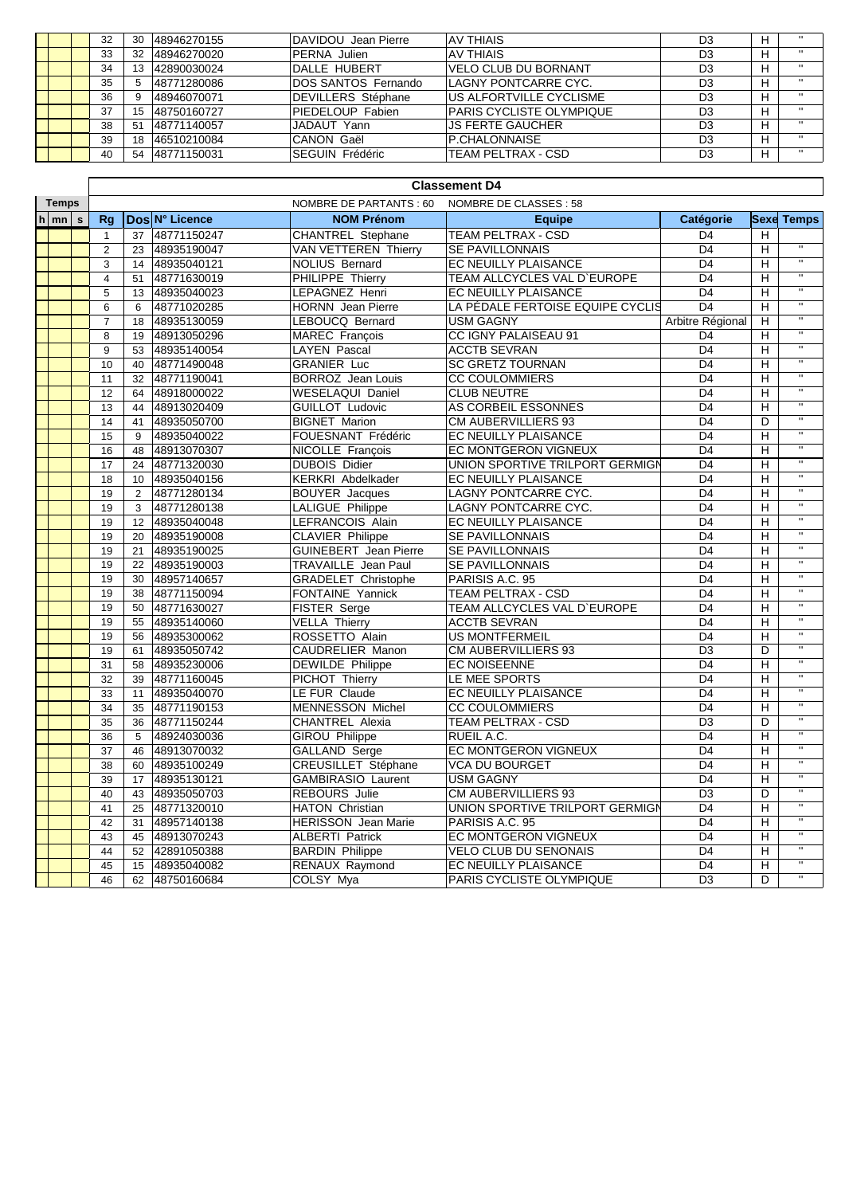|  | 32 | 30 | 48946270155 | DAVIDOU Jean Pierre        | IAV THIAIS                       | D3             | н |              |
|--|----|----|-------------|----------------------------|----------------------------------|----------------|---|--------------|
|  | 33 | 32 | 48946270020 | PERNA Julien               | IAV THIAIS                       | D <sub>3</sub> | н | $\mathbf{H}$ |
|  | 34 | 13 | 42890030024 | DALLE HUBERT               | VELO CLUB DU BORNANT             | D <sub>3</sub> | н |              |
|  | 35 | b. | 48771280086 | <b>DOS SANTOS Fernando</b> | <b>LAGNY PONTCARRE CYC.</b>      | D <sub>3</sub> | н | $\mathbf{H}$ |
|  | 36 | 9  | 48946070071 | DEVILLERS Stéphane         | <b>US ALFORTVILLE CYCLISME</b>   | D <sub>3</sub> | н | $\mathbf{H}$ |
|  | 37 | 15 | 48750160727 | PIEDELOUP Fabien           | <b>IPARIS CYCLISTE OLYMPIQUE</b> | D <sub>3</sub> | н | $\mathbf{H}$ |
|  | 38 | 51 | 48771140057 | JADAUT Yann                | IJS FERTE GAUCHER                | D <sub>3</sub> | н | $\mathbf{H}$ |
|  | 39 | 18 | 46510210084 | <b>CANON Gaël</b>          | IP.CHALONNAISE                   | D <sub>3</sub> | н | $\mathbf{H}$ |
|  | 40 | 54 | 48771150031 | <b>SEGUIN Frédéric</b>     | <b>ITEAM PELTRAX - CSD</b>       | D3             | н | $\mathbf{H}$ |

|                    | <b>Classement D4</b> |                                                  |                |                              |                                  |                  |                                    |                         |  |  |  |  |
|--------------------|----------------------|--------------------------------------------------|----------------|------------------------------|----------------------------------|------------------|------------------------------------|-------------------------|--|--|--|--|
| <b>Temps</b>       |                      | NOMBRE DE PARTANTS: 60<br>NOMBRE DE CLASSES : 58 |                |                              |                                  |                  |                                    |                         |  |  |  |  |
| $h \mid mn \mid s$ | Rg                   |                                                  | Dos N° Licence | <b>NOM Prénom</b>            | <b>Equipe</b>                    | Catégorie        |                                    | <b>Sexe Temps</b>       |  |  |  |  |
|                    | $\mathbf{1}$         | 37                                               | 48771150247    | <b>CHANTREL Stephane</b>     | TEAM PELTRAX - CSD               | D <sub>4</sub>   | $\overline{H}$                     |                         |  |  |  |  |
|                    | $\overline{2}$       | 23                                               | 48935190047    | <b>VAN VETTEREN Thierry</b>  | <b>SE PAVILLONNAIS</b>           | D <sub>4</sub>   | H                                  | π                       |  |  |  |  |
|                    | 3                    | 14                                               | 48935040121    | <b>NOLIUS Bernard</b>        | EC NEUILLY PLAISANCE             | D <sub>4</sub>   | $\overline{\mathsf{H}}$            | π                       |  |  |  |  |
|                    | $\overline{4}$       | 51                                               | 48771630019    | PHILIPPE Thierry             | TEAM ALLCYCLES VAL D'EUROPE      | D <sub>4</sub>   | $\overline{\mathsf{H}}$            | $\overline{\mathbf{u}}$ |  |  |  |  |
|                    | 5                    | 13                                               | 48935040023    | LEPAGNEZ Henri               | EC NEUILLY PLAISANCE             | D <sub>4</sub>   | $\overline{\mathsf{H}}$            | $\mathbf{u}$            |  |  |  |  |
|                    | 6                    | 6                                                | 48771020285    | <b>HORNN</b> Jean Pierre     | LA PÉDALE FERTOISE EQUIPE CYCLIS | $\overline{D4}$  | $\overline{H}$                     | $\overline{1}$          |  |  |  |  |
|                    | $\overline{7}$       | 18                                               | 48935130059    | LEBOUCQ Bernard              | <b>USM GAGNY</b>                 | Arbitre Régional | H                                  | $\overline{u}$          |  |  |  |  |
|                    | 8                    | 19                                               | 48913050296    | MAREC François               | <b>CC IGNY PALAISEAU 91</b>      | D <sub>4</sub>   | Н                                  | $\overline{u}$          |  |  |  |  |
|                    | 9                    | 53                                               | 48935140054    | <b>LAYEN Pascal</b>          | <b>ACCTB SEVRAN</b>              | D <sub>4</sub>   | $\overline{H}$                     | $\overline{\mathbf{u}}$ |  |  |  |  |
|                    | 10                   | 40                                               | 48771490048    | <b>GRANIER Luc</b>           | <b>SC GRETZ TOURNAN</b>          | D <sub>4</sub>   | H                                  | $\overline{\mathbf{u}}$ |  |  |  |  |
|                    | 11                   | 32                                               | 48771190041    | <b>BORROZ</b> Jean Louis     | <b>CC COULOMMIERS</b>            | D <sub>4</sub>   | H                                  | $\overline{\mathbf{u}}$ |  |  |  |  |
|                    | 12                   | 64                                               | 48918000022    | <b>WESELAQUI Daniel</b>      | <b>CLUB NEUTRE</b>               | D <sub>4</sub>   | H                                  | $\overline{\mathbf{u}}$ |  |  |  |  |
|                    | 13                   | 44                                               | 48913020409    | <b>GUILLOT Ludovic</b>       | AS CORBEIL ESSONNES              | D <sub>4</sub>   | H                                  | $\overline{\mathbf{u}}$ |  |  |  |  |
|                    | 14                   | 41                                               | 48935050700    | <b>BIGNET Marion</b>         | CM AUBERVILLIERS 93              | D <sub>4</sub>   | D                                  | Ŧ                       |  |  |  |  |
|                    | 15                   | 9                                                | 48935040022    | FOUESNANT Frédéric           | EC NEUILLY PLAISANCE             | D <sub>4</sub>   | Н                                  | $\mathbf{H}$            |  |  |  |  |
|                    | 16                   | 48                                               | 48913070307    | NICOLLE Francois             | EC MONTGERON VIGNEUX             | D <sub>4</sub>   | $\overline{\overline{\mathsf{H}}}$ | $\overline{u}$          |  |  |  |  |
|                    | 17                   | 24                                               | 48771320030    | <b>DUBOIS Didier</b>         | UNION SPORTIVE TRILPORT GERMIGN  | D <sub>4</sub>   | $\overline{\overline{H}}$          | $\overline{u}$          |  |  |  |  |
|                    | 18                   | 10                                               | 48935040156    | <b>KERKRI Abdelkader</b>     | EC NEUILLY PLAISANCE             | D <sub>4</sub>   | Η                                  | $\mathbf{u}$            |  |  |  |  |
|                    | 19                   | 2                                                | 48771280134    | <b>BOUYER</b> Jacques        | <b>LAGNY PONTCARRE CYC.</b>      | $\overline{D4}$  | H                                  | $\overline{\mathbf{u}}$ |  |  |  |  |
|                    | 19                   | 3                                                | 48771280138    | <b>LALIGUE Philippe</b>      | <b>LAGNY PONTCARRE CYC.</b>      | D <sub>4</sub>   | $\overline{H}$                     | $\overline{u}$          |  |  |  |  |
|                    | 19                   | 12                                               | 48935040048    | LEFRANCOIS Alain             | EC NEUILLY PLAISANCE             | D <sub>4</sub>   | Η                                  | $\overline{\mathbf{u}}$ |  |  |  |  |
|                    | 19                   | 20                                               | 48935190008    | <b>CLAVIER Philippe</b>      | SE PAVILLONNAIS                  | D <sub>4</sub>   | $\overline{\mathsf{H}}$            | $\overline{\mathbf{u}}$ |  |  |  |  |
|                    | 19                   | 21                                               | 48935190025    | <b>GUINEBERT</b> Jean Pierre | SE PAVILLONNAIS                  | D <sub>4</sub>   | $\overline{\mathsf{H}}$            | $\overline{u}$          |  |  |  |  |
|                    | 19                   | 22                                               | 48935190003    | <b>TRAVAILLE</b> Jean Paul   | SE PAVILLONNAIS                  | D <sub>4</sub>   | $\mathsf{H}$                       | $\overline{u}$          |  |  |  |  |
|                    | 19                   | 30                                               | 48957140657    | <b>GRADELET Christophe</b>   | PARISIS A.C. 95                  | D <sub>4</sub>   | Н                                  | $\overline{u}$          |  |  |  |  |
|                    | 19                   | 38                                               | 48771150094    | <b>FONTAINE Yannick</b>      | <b>TEAM PELTRAX - CSD</b>        | D <sub>4</sub>   | $\mathsf{H}$                       | $\overline{u}$          |  |  |  |  |
|                    | 19                   | 50                                               | 48771630027    | FISTER Serge                 | TEAM ALLCYCLES VAL D'EUROPE      | D <sub>4</sub>   | $\mathsf{H}$                       | $\overline{u}$          |  |  |  |  |
|                    | 19                   | 55                                               | 48935140060    | <b>VELLA Thierry</b>         | <b>ACCTB SEVRAN</b>              | D <sub>4</sub>   | $\overline{H}$                     | π                       |  |  |  |  |
|                    | 19                   | 56                                               | 48935300062    | ROSSETTO Alain               | <b>US MONTFERMEIL</b>            | D <sub>4</sub>   | H                                  | $\overline{u}$          |  |  |  |  |
|                    | 19                   | 61                                               | 48935050742    | <b>CAUDRELIER Manon</b>      | CM AUBERVILLIERS 93              | D <sub>3</sub>   | D                                  | $\overline{u}$          |  |  |  |  |
|                    | 31                   | 58                                               | 48935230006    | <b>DEWILDE Philippe</b>      | <b>EC NOISEENNE</b>              | D <sub>4</sub>   | Н                                  | $\overline{\mathbf{u}}$ |  |  |  |  |
|                    | 32                   | 39                                               | 48771160045    | PICHOT Thierry               | LE MEE SPORTS                    | D <sub>4</sub>   | Н                                  | $\overline{\mathbf{u}}$ |  |  |  |  |
|                    | 33                   | 11                                               | 48935040070    | LE FUR Claude                | EC NEUILLY PLAISANCE             | D <sub>4</sub>   | $\overline{\mathsf{H}}$            | $\overline{u}$          |  |  |  |  |
|                    | 34                   | 35                                               | 48771190153    | <b>MENNESSON Michel</b>      | <b>CC COULOMMIERS</b>            | D <sub>4</sub>   | $\mathsf{H}$                       | π                       |  |  |  |  |
|                    | 35                   | 36                                               | 48771150244    | <b>CHANTREL Alexia</b>       | <b>TEAM PELTRAX - CSD</b>        | D <sub>3</sub>   | D                                  | π                       |  |  |  |  |
|                    | 36                   | 5                                                | 48924030036    | <b>GIROU Philippe</b>        | RUEIL A.C.                       | D <sub>4</sub>   | $\overline{H}$                     | $\mathbf{u}$            |  |  |  |  |
|                    | 37                   | 46                                               | 48913070032    | <b>GALLAND Serge</b>         | EC MONTGERON VIGNEUX             | D <sub>4</sub>   | $\overline{H}$                     | $\mathbf{u}$            |  |  |  |  |
|                    | 38                   | 60                                               | 48935100249    | <b>CREUSILLET Stéphane</b>   | <b>VCA DU BOURGET</b>            | D <sub>4</sub>   | Н                                  | $\overline{\mathbf{u}}$ |  |  |  |  |
|                    | 39                   | 17                                               | 48935130121    | <b>GAMBIRASIO Laurent</b>    | <b>USM GAGNY</b>                 | D <sub>4</sub>   | H                                  | $\overline{\mathbf{u}}$ |  |  |  |  |
|                    | 40                   | 43                                               | 48935050703    | <b>REBOURS</b> Julie         | CM AUBERVILLIERS 93              | D <sub>3</sub>   | D                                  | $\overline{\mathbf{u}}$ |  |  |  |  |
|                    | 41                   | 25                                               | 48771320010    | <b>HATON Christian</b>       | UNION SPORTIVE TRILPORT GERMIGN  | D <sub>4</sub>   | $\overline{\mathsf{H}}$            | Ŧ                       |  |  |  |  |
|                    | 42                   | 31                                               | 48957140138    | <b>HERISSON</b> Jean Marie   | PARISIS A.C. 95                  | D <sub>4</sub>   | $\overline{\mathsf{H}}$            | π                       |  |  |  |  |
|                    | 43                   | 45                                               | 48913070243    | <b>ALBERTI Patrick</b>       | <b>EC MONTGERON VIGNEUX</b>      | D <sub>4</sub>   | $\overline{\mathsf{H}}$            | $\overline{\mathbf{u}}$ |  |  |  |  |
|                    | 44                   | 52                                               | 42891050388    | <b>BARDIN Philippe</b>       | VELO CLUB DU SENONAIS            | D <sub>4</sub>   | $\overline{\overline{H}}$          | $\overline{u}$          |  |  |  |  |
|                    | 45                   | 15                                               | 48935040082    | RENAUX Raymond               | EC NEUILLY PLAISANCE             | D <sub>4</sub>   | $\overline{H}$                     | $\mathbf{u}$            |  |  |  |  |
|                    | 46                   | 62                                               | 48750160684    | <b>COLSY Mya</b>             | PARIS CYCLISTE OLYMPIQUE         | $\overline{D3}$  | $\overline{\mathsf{D}}$            | $\overline{\mathbf{u}}$ |  |  |  |  |